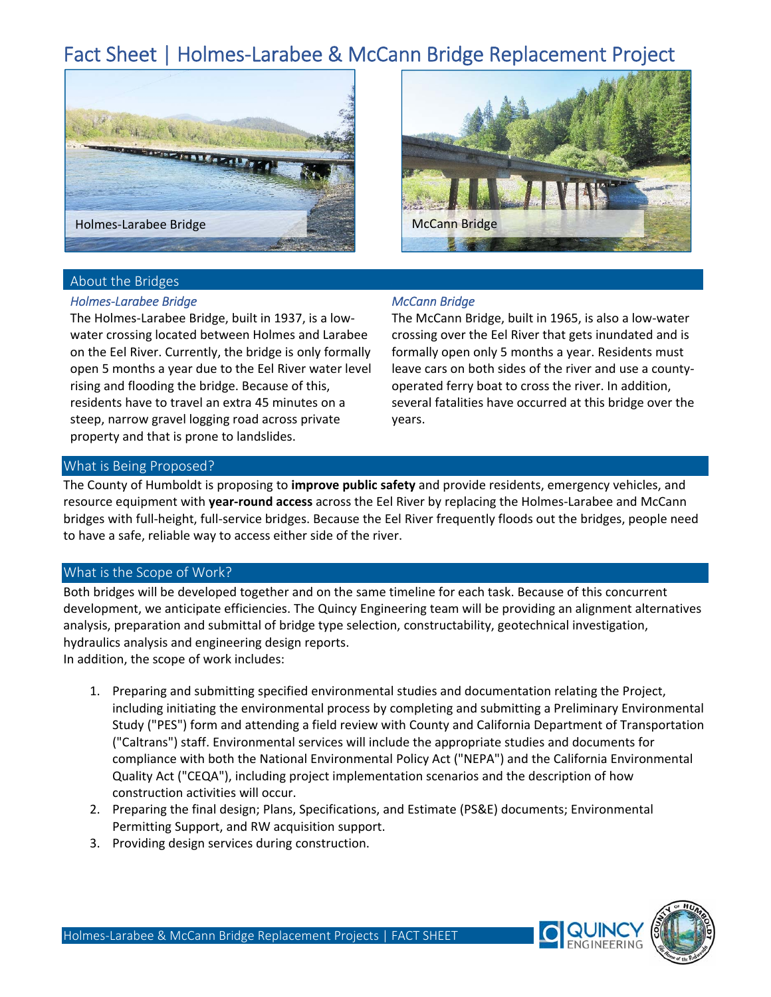# Fact Sheet | Holmes‐Larabee & McCann Bridge Replacement Project





# About the Bridges

#### *Holmes‐Larabee Bridge*

The Holmes‐Larabee Bridge, built in 1937, is a low‐ water crossing located between Holmes and Larabee on the Eel River. Currently, the bridge is only formally open 5 months a year due to the Eel River water level rising and flooding the bridge. Because of this, residents have to travel an extra 45 minutes on a steep, narrow gravel logging road across private property and that is prone to landslides.

## *McCann Bridge*

The McCann Bridge, built in 1965, is also a low‐water crossing over the Eel River that gets inundated and is formally open only 5 months a year. Residents must leave cars on both sides of the river and use a county‐ operated ferry boat to cross the river. In addition, several fatalities have occurred at this bridge over the years.

## What is Being Proposed?

The County of Humboldt is proposing to **improve public safety** and provide residents, emergency vehicles, and resource equipment with **year‐round access** across the Eel River by replacing the Holmes‐Larabee and McCann bridges with full‐height, full‐service bridges. Because the Eel River frequently floods out the bridges, people need to have a safe, reliable way to access either side of the river.

## What is the Scope of Work?

Both bridges will be developed together and on the same timeline for each task. Because of this concurrent development, we anticipate efficiencies. The Quincy Engineering team will be providing an alignment alternatives analysis, preparation and submittal of bridge type selection, constructability, geotechnical investigation, hydraulics analysis and engineering design reports.

In addition, the scope of work includes:

- 1. Preparing and submitting specified environmental studies and documentation relating the Project, including initiating the environmental process by completing and submitting a Preliminary Environmental Study ("PES") form and attending a field review with County and California Department of Transportation ("Caltrans") staff. Environmental services will include the appropriate studies and documents for compliance with both the National Environmental Policy Act ("NEPA") and the California Environmental Quality Act ("CEQA"), including project implementation scenarios and the description of how construction activities will occur.
- 2. Preparing the final design; Plans, Specifications, and Estimate (PS&E) documents; Environmental Permitting Support, and RW acquisition support.
- 3. Providing design services during construction.